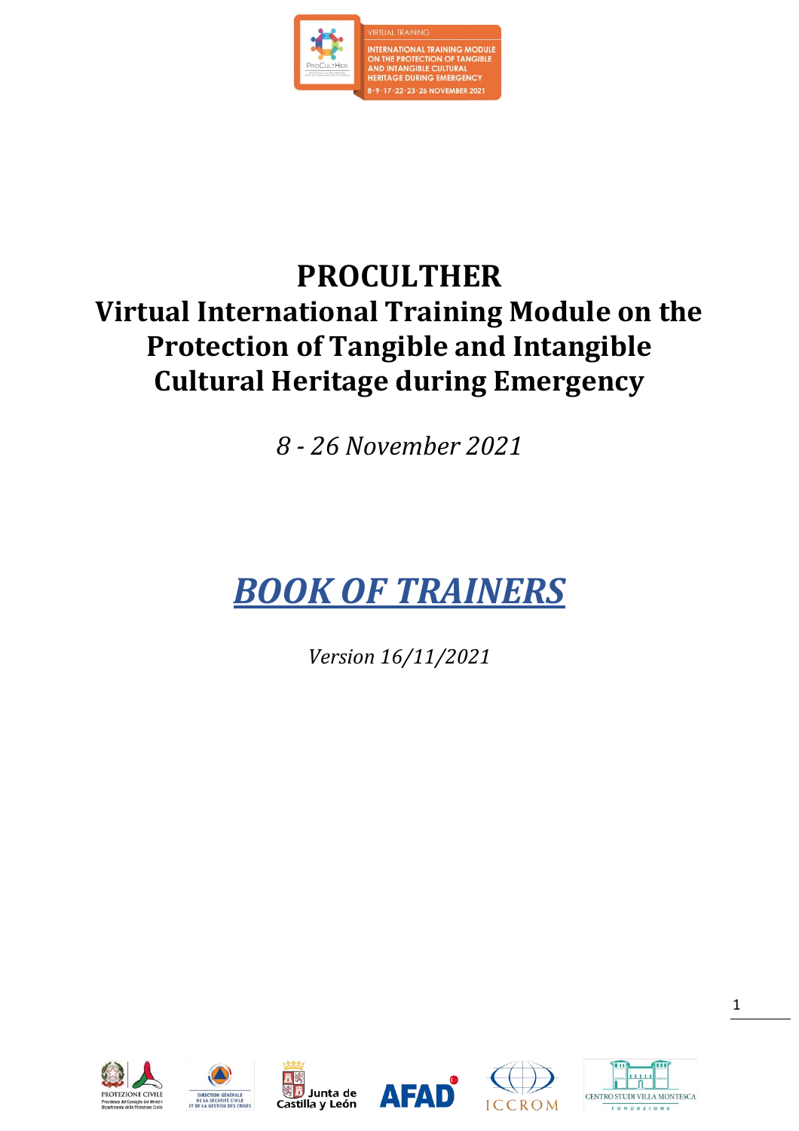

# **PROCULTHER Virtual International Training Module on the Protection of Tangible and Intangible Cultural Heritage during Emergency**

*8 - 26 November 2021*

# *BOOK OF TRAINERS*

*Version 16/11/2021*











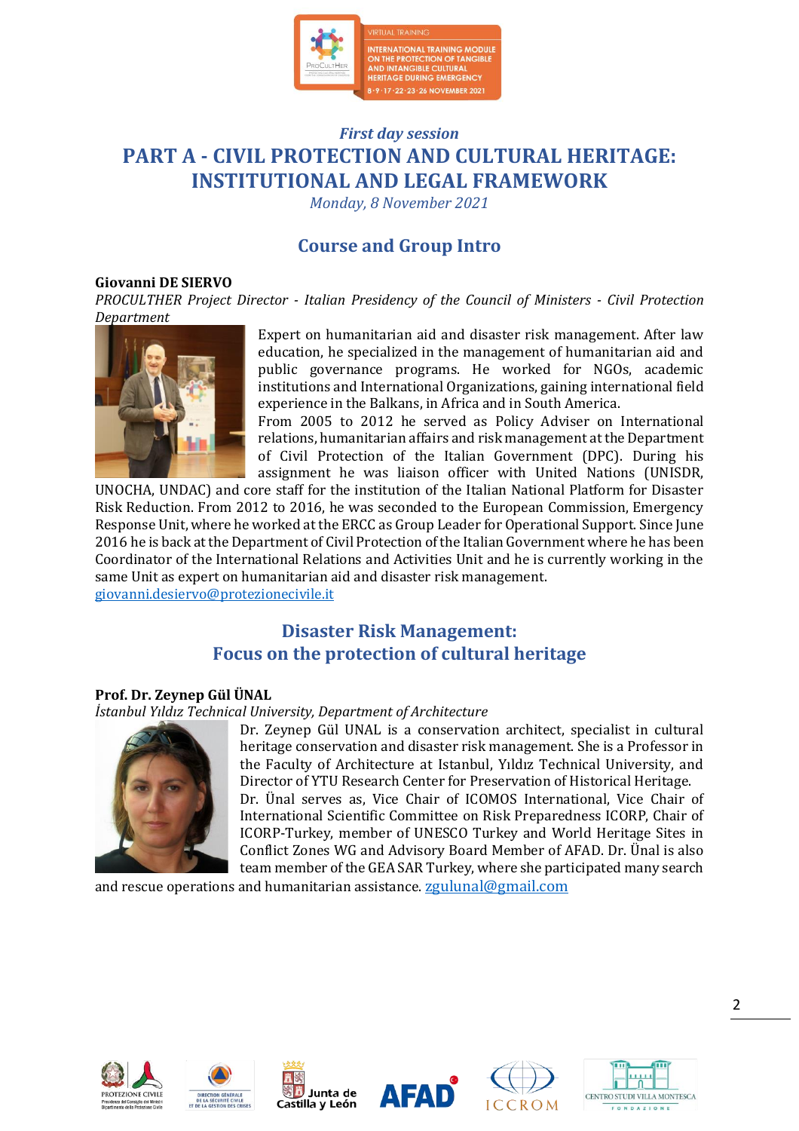

## *First day session* **PART A - CIVIL PROTECTION AND CULTURAL HERITAGE: INSTITUTIONAL AND LEGAL FRAMEWORK**

*Monday, 8 November 2021*

## **Course and Group Intro**

#### **Giovanni DE SIERVO**

*PROCULTHER Project Director - Italian Presidency of the Council of Ministers - Civil Protection Department*



Expert on humanitarian aid and disaster risk management. After law education, he specialized in the management of humanitarian aid and public governance programs. He worked for NGOs, academic institutions and International Organizations, gaining international field experience in the Balkans, in Africa and in South America.

From 2005 to 2012 he served as Policy Adviser on International relations, humanitarian affairs and risk management at the Department of Civil Protection of the Italian Government (DPC). During his assignment he was liaison officer with United Nations (UNISDR,

UNOCHA, UNDAC) and core staff for the institution of the Italian National Platform for Disaster Risk Reduction. From 2012 to 2016, he was seconded to the European Commission, Emergency Response Unit, where he worked at the ERCC as Group Leader for Operational Support. Since June 2016 he is back at the Department of Civil Protection of the Italian Government where he has been Coordinator of the International Relations and Activities Unit and he is currently working in the same Unit as expert on humanitarian aid and disaster risk management. [giovanni.desiervo@protezionecivile.it](mailto:giovanni.desiervo@protezionecivile.it)

## **Disaster Risk Management: Focus on the protection of cultural heritage**

#### **Prof. Dr. Zeynep Gül ÜNAL**

#### *İstanbul Yıldız Technical University, Department of Architecture*



Dr. Zeynep Gül UNAL is a conservation architect, specialist in cultural heritage conservation and disaster risk management. She is a Professor in the Faculty of Architecture at Istanbul, Yıldız Technical University, and Director of YTU Research Center for Preservation of Historical Heritage. Dr. Ünal serves as, Vice Chair of ICOMOS International, Vice Chair of International Scientific Committee on Risk Preparedness ICORP, Chair of ICORP-Turkey, member of UNESCO Turkey and World Heritage Sites in Conflict Zones WG and Advisory Board Member of AFAD. Dr. Ünal is also team member of the GEA SAR Turkey, where she participated many search

and rescue operations and humanitarian assistance. [zgulunal@gmail.com](mailto:zgulunal@gmail.com)











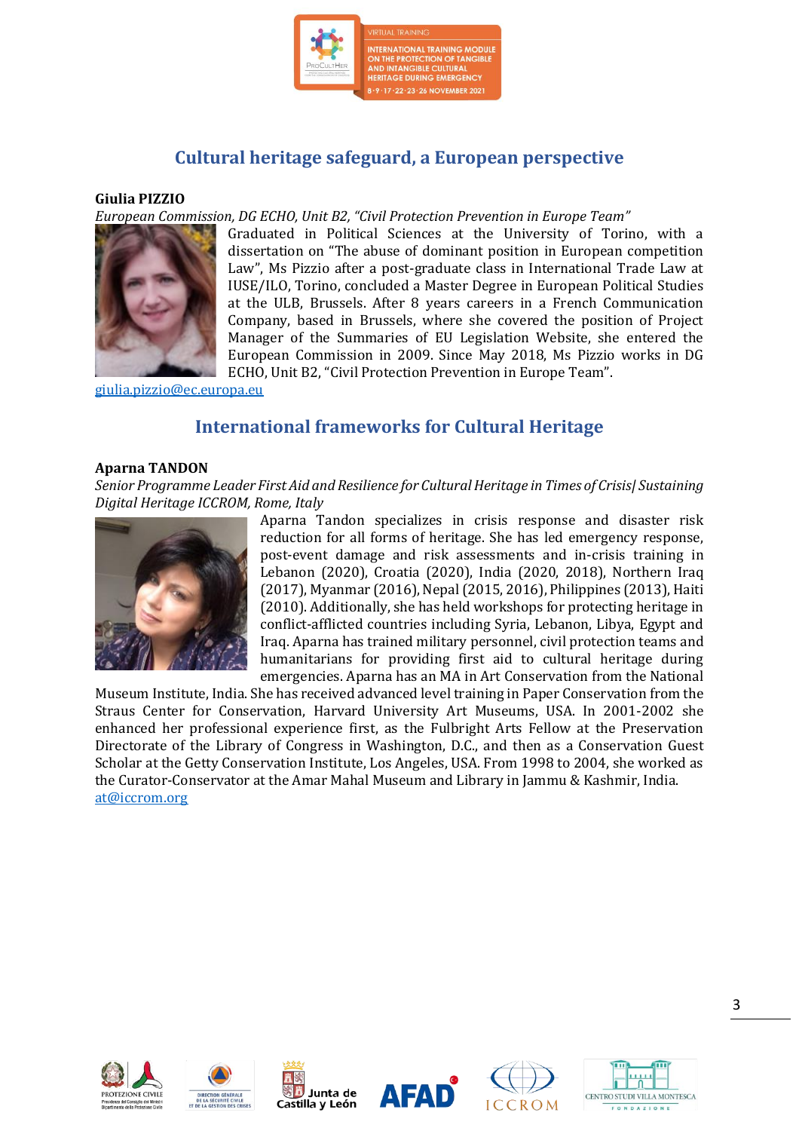

## **Cultural heritage safeguard, a European perspective**

#### **Giulia PIZZIO**

*European Commission, DG ECHO, Unit B2, "Civil Protection Prevention in Europe Team"*



Graduated in Political Sciences at the University of Torino, with a dissertation on "The abuse of dominant position in European competition Law", Ms Pizzio after a post-graduate class in International Trade Law at IUSE/ILO, Torino, concluded a Master Degree in European Political Studies at the ULB, Brussels. After 8 years careers in a French Communication Company, based in Brussels, where she covered the position of Project Manager of the Summaries of EU Legislation Website, she entered the European Commission in 2009. Since May 2018, Ms Pizzio works in DG ECHO, Unit B2, "Civil Protection Prevention in Europe Team".

[giulia.pizzio@ec.europa.eu](mailto:giulia.pizzio@ec.europa.eu)

## **International frameworks for Cultural Heritage**

#### **Aparna TANDON**

*Senior Programme Leader First Aid and Resilience for Cultural Heritage in Times of Crisis| Sustaining Digital Heritage ICCROM, Rome, Italy*



Aparna Tandon specializes in crisis response and disaster risk reduction for all forms of heritage. She has led emergency response, post-event damage and risk assessments and in-crisis training in Lebanon (2020), Croatia (2020), India (2020, 2018), Northern Iraq (2017), Myanmar (2016), Nepal (2015, 2016), Philippines (2013), Haiti (2010). Additionally, she has held workshops for protecting heritage in conflict-afflicted countries including Syria, Lebanon, Libya, Egypt and Iraq. Aparna has trained military personnel, civil protection teams and humanitarians for providing first aid to cultural heritage during emergencies. Aparna has an MA in Art Conservation from the National

Museum Institute, India. She has received advanced level training in Paper Conservation from the Straus Center for Conservation, Harvard University Art Museums, USA. In 2001-2002 she enhanced her professional experience first, as the Fulbright Arts Fellow at the Preservation Directorate of the Library of Congress in Washington, D.C., and then as a Conservation Guest Scholar at the Getty Conservation Institute, Los Angeles, USA. From 1998 to 2004, she worked as the Curator-Conservator at the Amar Mahal Museum and Library in Jammu & Kashmir, India. [at@iccrom.org](mailto:at@iccrom.org)











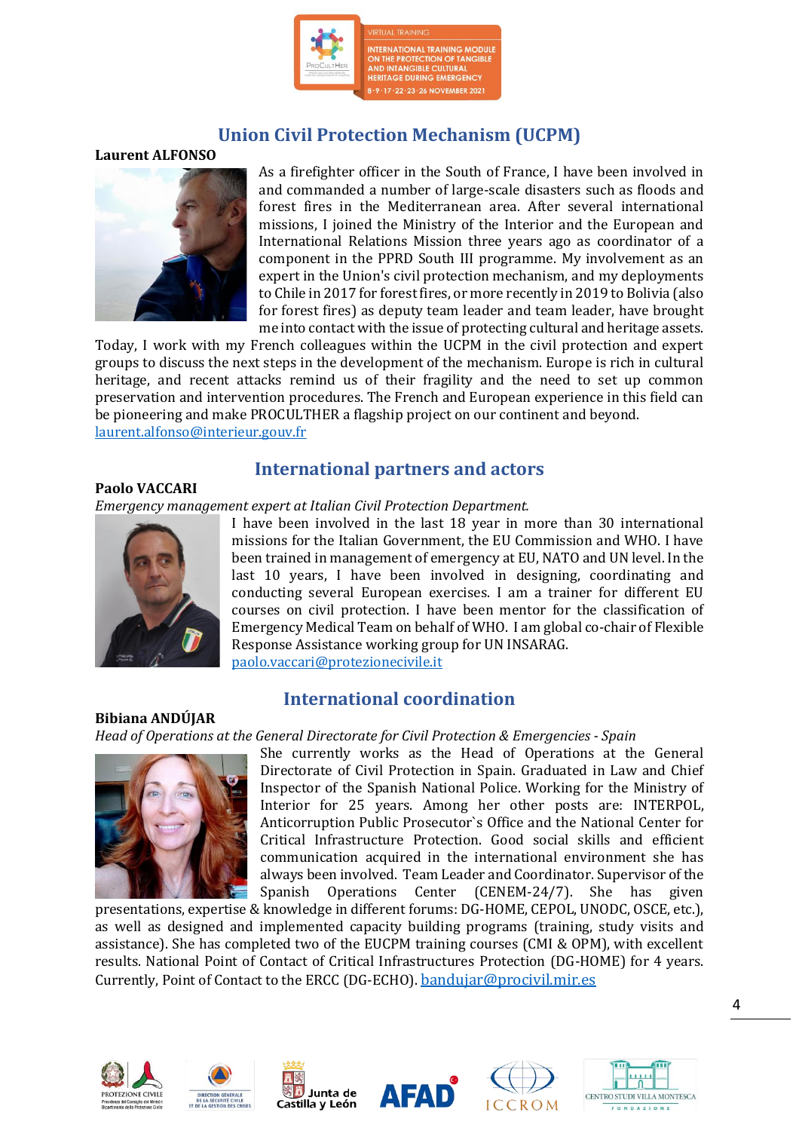

## **Union Civil Protection Mechanism (UCPM)**

#### **Laurent ALFONSO**



As a firefighter officer in the South of France, I have been involved in and commanded a number of large-scale disasters such as floods and forest fires in the Mediterranean area. After several international missions, I joined the Ministry of the Interior and the European and International Relations Mission three years ago as coordinator of a component in the PPRD South III programme. My involvement as an expert in the Union's civil protection mechanism, and my deployments to Chile in 2017 for forest fires, or more recently in 2019 to Bolivia (also for forest fires) as deputy team leader and team leader, have brought me into contact with the issue of protecting cultural and heritage assets.

Today, I work with my French colleagues within the UCPM in the civil protection and expert groups to discuss the next steps in the development of the mechanism. Europe is rich in cultural heritage, and recent attacks remind us of their fragility and the need to set up common preservation and intervention procedures. The French and European experience in this field can be pioneering and make PROCULTHER a flagship project on our continent and beyond. [laurent.alfonso@interieur.gouv.fr](mailto:laurent.alfonso@interieur.gouv.fr)

### **International partners and actors**

#### **Paolo VACCARI**

*Emergency management expert at Italian Civil Protection Department.*



**Bibiana ANDÚJAR**

I have been involved in the last 18 year in more than 30 international missions for the Italian Government, the EU Commission and WHO. I have been trained in management of emergency at EU, NATO and UN level. In the last 10 years, I have been involved in designing, coordinating and conducting several European exercises. I am a trainer for different EU courses on civil protection. I have been mentor for the classification of Emergency Medical Team on behalf of WHO. I am global co-chair of Flexible Response Assistance working group for UN INSARAG. [paolo.vaccari@protezionecivile.it](mailto:paolo.vaccari@protezionecivile.it)

### **International coordination**

*Head of Operations at the General Directorate for Civil Protection & Emergencies - Spain*



She currently works as the Head of Operations at the General Directorate of Civil Protection in Spain. Graduated in Law and Chief Inspector of the Spanish National Police. Working for the Ministry of Interior for 25 years. Among her other posts are: INTERPOL, Anticorruption Public Prosecutor`s Office and the National Center for Critical Infrastructure Protection. Good social skills and efficient communication acquired in the international environment she has always been involved. Team Leader and Coordinator. Supervisor of the Spanish Operations Center (CENEM-24/7). She has given

presentations, expertise & knowledge in different forums: DG-HOME, CEPOL, UNODC, OSCE, etc.), as well as designed and implemented capacity building programs (training, study visits and assistance). She has completed two of the EUCPM training courses (CMI & OPM), with excellent results. National Point of Contact of Critical Infrastructures Protection (DG-HOME) for 4 years. Currently, Point of Contact to the ERCC (DG-ECHO). [bandujar@procivil.mir.es](mailto:bandujar@procivil.mir.es)











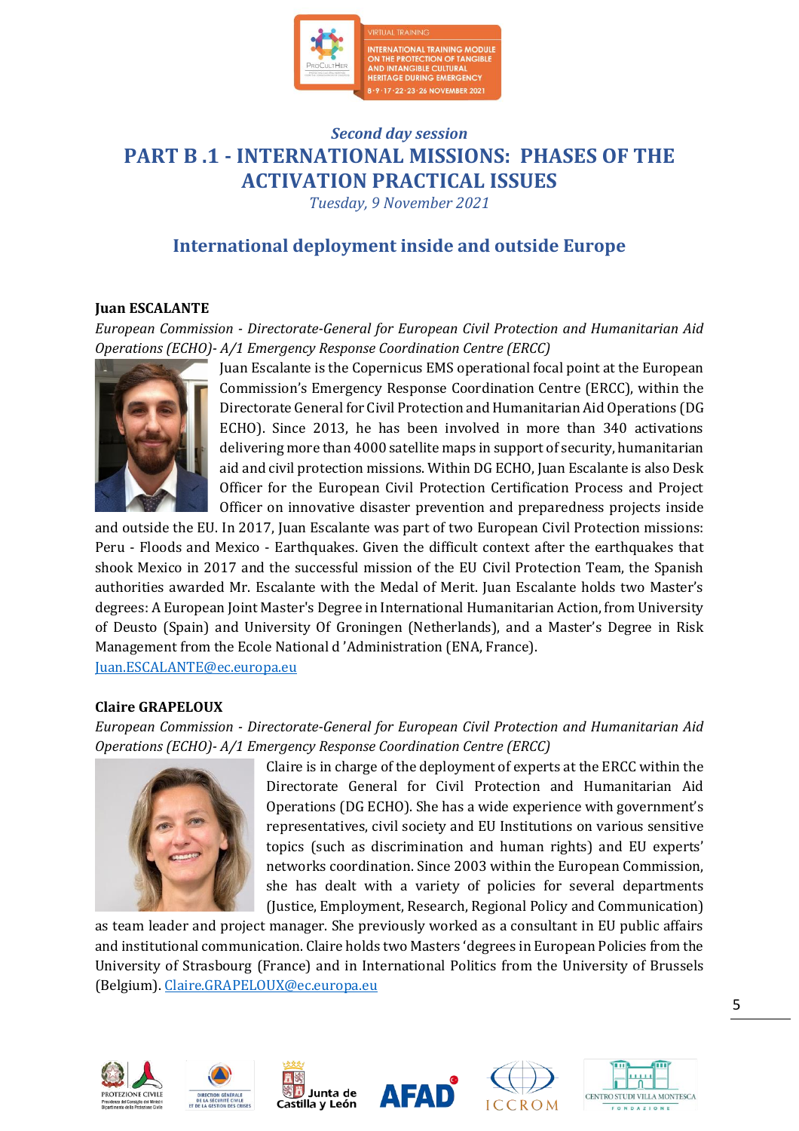

## *Second day session* **PART B .1 - INTERNATIONAL MISSIONS: PHASES OF THE ACTIVATION PRACTICAL ISSUES**

*Tuesday, 9 November 2021*

## **International deployment inside and outside Europe**

#### **Juan ESCALANTE**

*European Commission - Directorate-General for European Civil Protection and Humanitarian Aid Operations (ECHO)- A/1 Emergency Response Coordination Centre (ERCC)*



Juan Escalante is the Copernicus EMS operational focal point at the European Commission's Emergency Response Coordination Centre (ERCC), within the Directorate General for Civil Protection and Humanitarian Aid Operations (DG ECHO). Since 2013, he has been involved in more than 340 activations delivering more than 4000 satellite maps in support of security, humanitarian aid and civil protection missions. Within DG ECHO, Juan Escalante is also Desk Officer for the European Civil Protection Certification Process and Project Officer on innovative disaster prevention and preparedness projects inside

and outside the EU. In 2017, Juan Escalante was part of two European Civil Protection missions: Peru - Floods and Mexico - Earthquakes. Given the difficult context after the earthquakes that shook Mexico in 2017 and the successful mission of the EU Civil Protection Team, the Spanish authorities awarded Mr. Escalante with the Medal of Merit. Juan Escalante holds two Master's degrees: A European Joint Master's Degree in International Humanitarian Action, from University of Deusto (Spain) and University Of Groningen (Netherlands), and a Master's Degree in Risk Management from the Ecole National d 'Administration (ENA, France). [Juan.ESCALANTE@ec.europa.eu](mailto:Juan.ESCALANTE@ec.europa.eu)

**Claire GRAPELOUX** 

*European Commission - Directorate-General for European Civil Protection and Humanitarian Aid Operations (ECHO)- A/1 Emergency Response Coordination Centre (ERCC)*



Claire is in charge of the deployment of experts at the ERCC within the Directorate General for Civil Protection and Humanitarian Aid Operations (DG ECHO). She has a wide experience with government's representatives, civil society and EU Institutions on various sensitive topics (such as discrimination and human rights) and EU experts' networks coordination. Since 2003 within the European Commission, she has dealt with a variety of policies for several departments (Justice, Employment, Research, Regional Policy and Communication)

as team leader and project manager. She previously worked as a consultant in EU public affairs and institutional communication. Claire holds two Masters 'degrees in European Policies from the University of Strasbourg (France) and in International Politics from the University of Brussels (Belgium). [Claire.GRAPELOUX@ec.europa.eu](mailto:Claire.GRAPELOUX@ec.europa.eu)











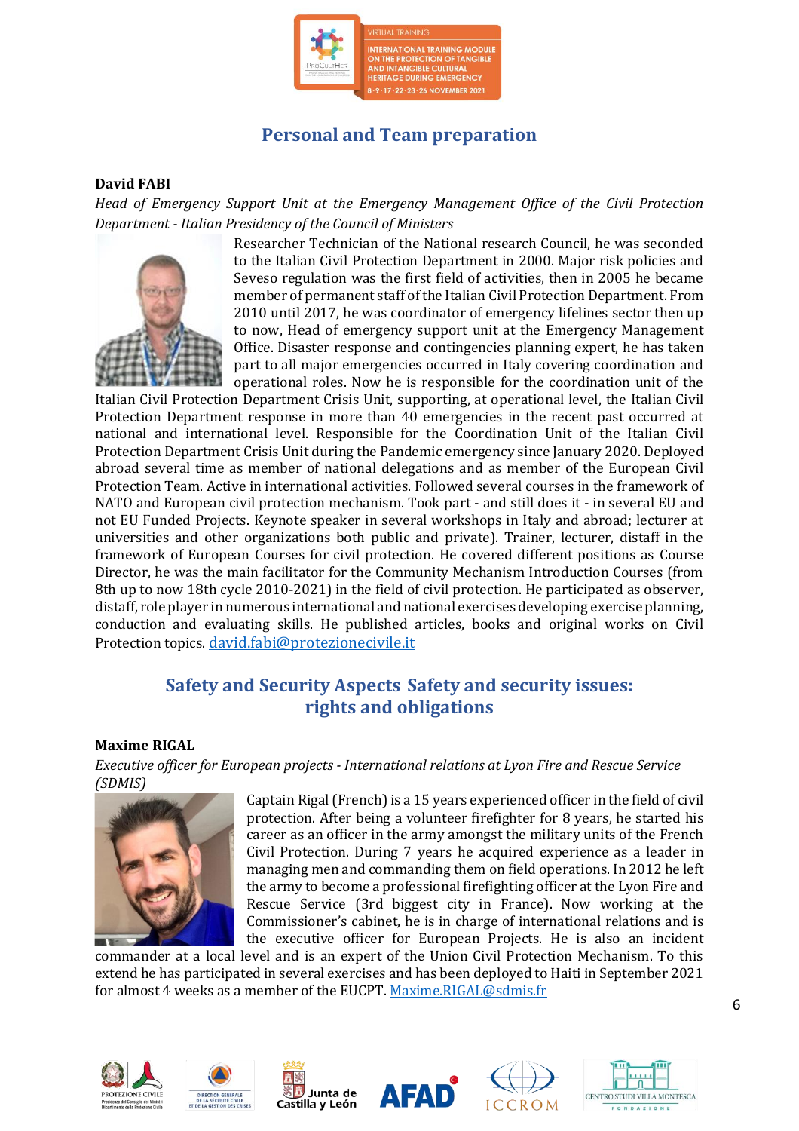

## **Personal and Team preparation**

#### **David FABI**

*Head of Emergency Support Unit at the Emergency Management Office of the Civil Protection Department - Italian Presidency of the Council of Ministers* 



Researcher Technician of the National research Council, he was seconded to the Italian Civil Protection Department in 2000. Major risk policies and Seveso regulation was the first field of activities, then in 2005 he became member of permanent staff of the Italian Civil Protection Department. From 2010 until 2017, he was coordinator of emergency lifelines sector then up to now, Head of emergency support unit at the Emergency Management Office. Disaster response and contingencies planning expert, he has taken part to all major emergencies occurred in Italy covering coordination and operational roles. Now he is responsible for the coordination unit of the

Italian Civil Protection Department Crisis Unit, supporting, at operational level, the Italian Civil Protection Department response in more than 40 emergencies in the recent past occurred at national and international level. Responsible for the Coordination Unit of the Italian Civil Protection Department Crisis Unit during the Pandemic emergency since January 2020. Deployed abroad several time as member of national delegations and as member of the European Civil Protection Team. Active in international activities. Followed several courses in the framework of NATO and European civil protection mechanism. Took part - and still does it - in several EU and not EU Funded Projects. Keynote speaker in several workshops in Italy and abroad; lecturer at universities and other organizations both public and private). Trainer, lecturer, distaff in the framework of European Courses for civil protection. He covered different positions as Course Director, he was the main facilitator for the Community Mechanism Introduction Courses (from 8th up to now 18th cycle 2010-2021) in the field of civil protection. He participated as observer, distaff, role player in numerous international and national exercises developing exercise planning, conduction and evaluating skills. He published articles, books and original works on Civil Protection topics. [david.fabi@protezionecivile.it](mailto:david.fabi@protezionecivile.it)

## **Safety and Security Aspects Safety and security issues: rights and obligations**

#### **Maxime RIGAL**

*Executive officer for European projects - International relations at Lyon Fire and Rescue Service (SDMIS)*



Captain Rigal (French) is a 15 years experienced officer in the field of civil protection. After being a volunteer firefighter for 8 years, he started his career as an officer in the army amongst the military units of the French Civil Protection. During 7 years he acquired experience as a leader in managing men and commanding them on field operations. In 2012 he left the army to become a professional firefighting officer at the Lyon Fire and Rescue Service (3rd biggest city in France). Now working at the Commissioner's cabinet, he is in charge of international relations and is the executive officer for European Projects. He is also an incident

commander at a local level and is an expert of the Union Civil Protection Mechanism. To this extend he has participated in several exercises and has been deployed to Haiti in September 2021 for almost 4 weeks as a member of the EUCPT. [Maxime.RIGAL@sdmis.fr](mailto:Maxime.RIGAL@sdmis.fr)











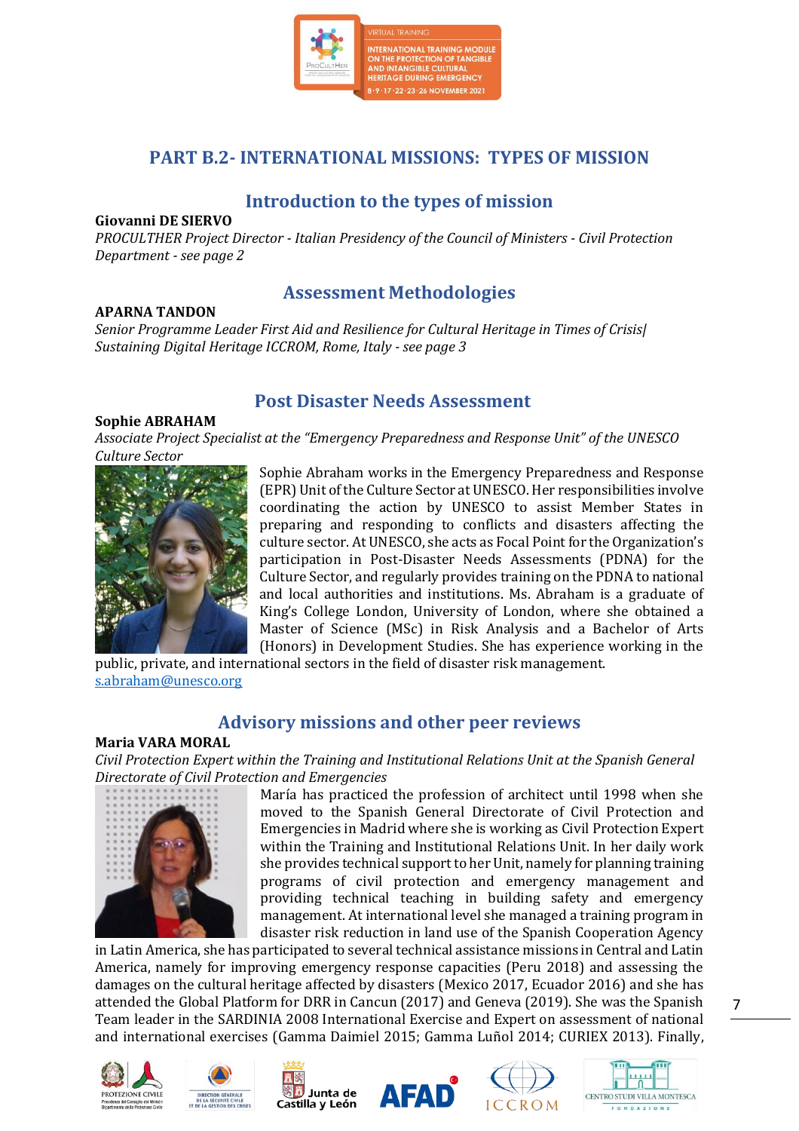

## **PART B.2- INTERNATIONAL MISSIONS: TYPES OF MISSION**

## **Introduction to the types of mission**

#### **Giovanni DE SIERVO**

*PROCULTHER Project Director - Italian Presidency of the Council of Ministers - Civil Protection Department - see page 2*

#### **APARNA TANDON**

## **Assessment Methodologies**

*Senior Programme Leader First Aid and Resilience for Cultural Heritage in Times of Crisis| Sustaining Digital Heritage ICCROM, Rome, Italy - see page 3*

## **Post Disaster Needs Assessment**

#### **Sophie ABRAHAM**

*Associate Project Specialist at the "Emergency Preparedness and Response Unit" of the UNESCO Culture Sector*



Sophie Abraham works in the Emergency Preparedness and Response (EPR) Unit of the Culture Sector at UNESCO. Her responsibilities involve coordinating the action by UNESCO to assist Member States in preparing and responding to conflicts and disasters affecting the culture sector. At UNESCO, she acts as Focal Point for the Organization's participation in Post-Disaster Needs Assessments (PDNA) for the Culture Sector, and regularly provides training on the PDNA to national and local authorities and institutions. Ms. Abraham is a graduate of King's College London, University of London, where she obtained a Master of Science (MSc) in Risk Analysis and a Bachelor of Arts (Honors) in Development Studies. She has experience working in the

public, private, and international sectors in the field of disaster risk management. [s.abraham@unesco.org](mailto:s.abraham@unesco.org)

## **Advisory missions and other peer reviews**

#### **Maria VARA MORAL**

*Civil Protection Expert within the Training and Institutional Relations Unit at the Spanish General Directorate of Civil Protection and Emergencies*



María has practiced the profession of architect until 1998 when she moved to the Spanish General Directorate of Civil Protection and Emergencies in Madrid where she is working as Civil Protection Expert within the Training and Institutional Relations Unit. In her daily work she provides technical support to her Unit, namely for planning training programs of civil protection and emergency management and providing technical teaching in building safety and emergency management. At international level she managed a training program in disaster risk reduction in land use of the Spanish Cooperation Agency

in Latin America, she has participated to several technical assistance missions in Central and Latin America, namely for improving emergency response capacities (Peru 2018) and assessing the damages on the cultural heritage affected by disasters (Mexico 2017, Ecuador 2016) and she has attended the Global Platform for DRR in Cancun (2017) and Geneva (2019). She was the Spanish Team leader in the SARDINIA 2008 International Exercise and Expert on assessment of national and international exercises (Gamma Daimiel 2015; Gamma Luñol 2014; CURIEX 2013). Finally,











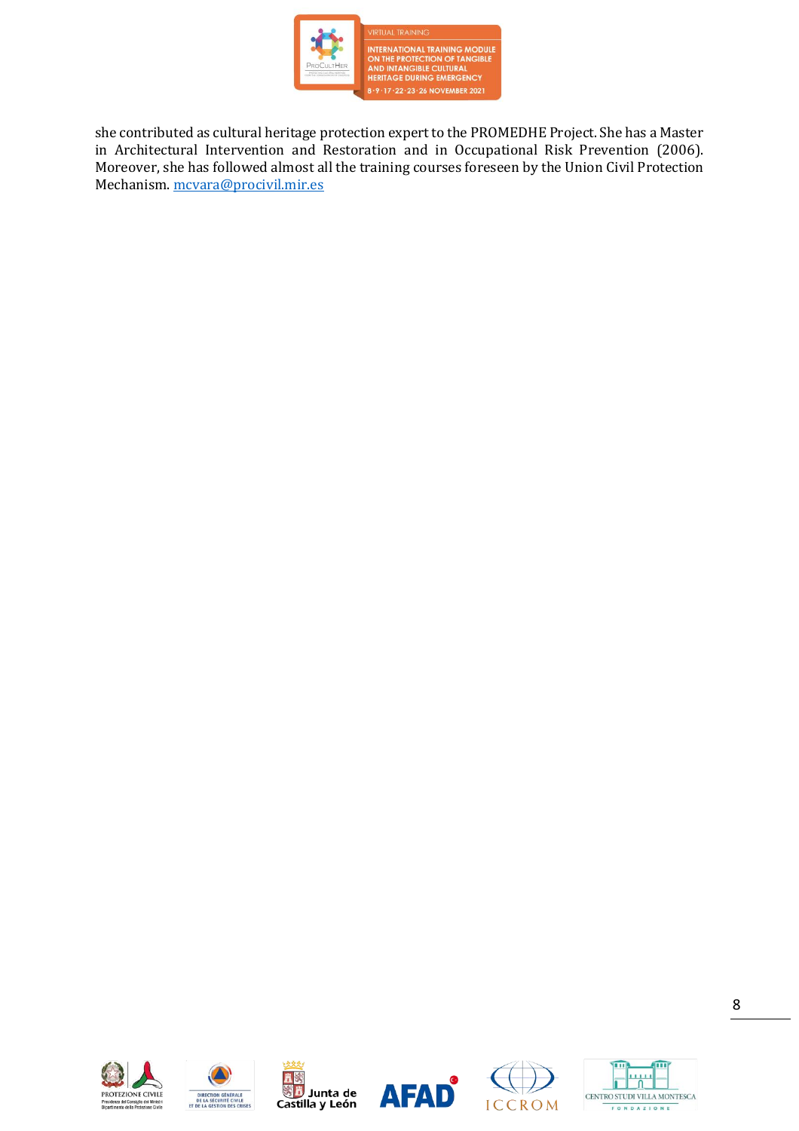

INTERNATIONAL TRAINING MODULE<br>ON THE PROTECTION OF TANGIBLE<br>AND INTANGIBLE CULTURAL<br>HERITAGE DURING EMERGENCY 8-9-17-22-23-26 NOVEMBER 2021

she contributed as cultural heritage protection expert to the PROMEDHE Project. She has a Master in Architectural Intervention and Restoration and in Occupational Risk Prevention (2006). Moreover, she has followed almost all the training courses foreseen by the Union Civil Protection Mechanism. [mcvara@procivil.mir.es](mailto:mcvara@procivil.mir.es)











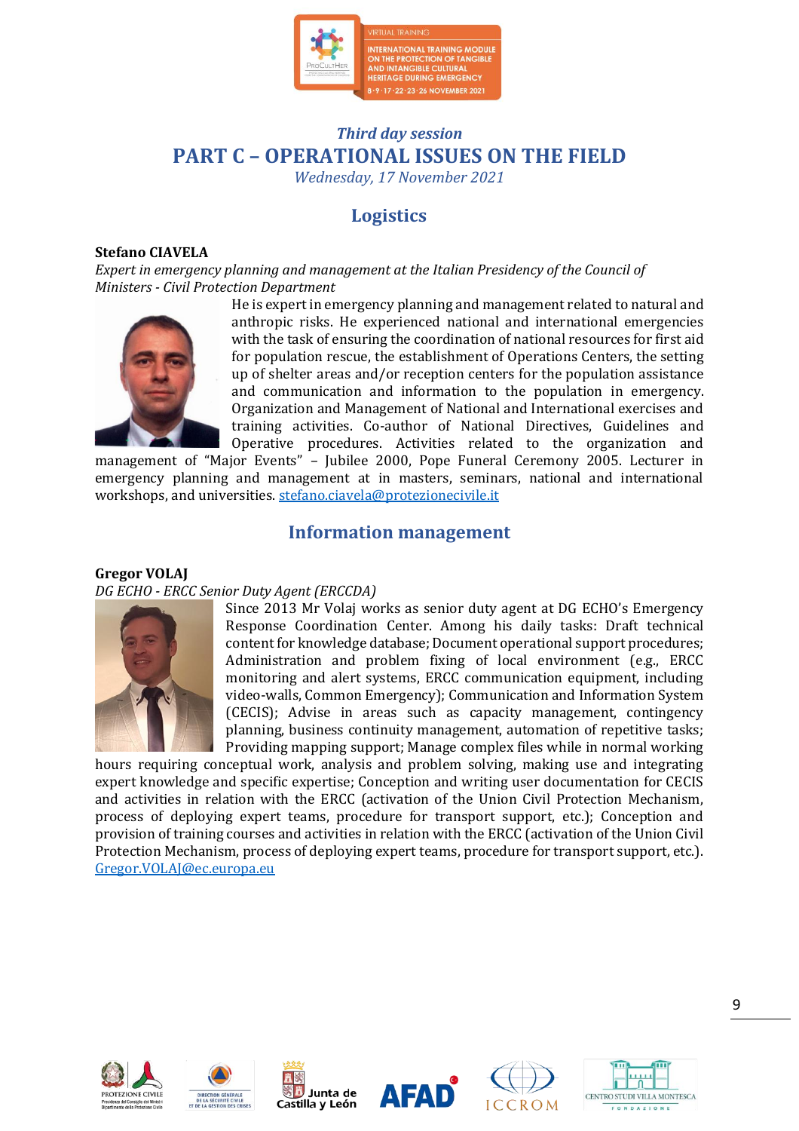

## *Third day session* **PART C – OPERATIONAL ISSUES ON THE FIELD**

*Wednesday, 17 November 2021*

## **Logistics**

#### **Stefano CIAVELA**

*Expert in emergency planning and management at the Italian Presidency of the Council of Ministers - Civil Protection Department*



He is expert in emergency planning and management related to natural and anthropic risks. He experienced national and international emergencies with the task of ensuring the coordination of national resources for first aid for population rescue, the establishment of Operations Centers, the setting up of shelter areas and/or reception centers for the population assistance and communication and information to the population in emergency. Organization and Management of National and International exercises and training activities. Co-author of National Directives, Guidelines and Operative procedures. Activities related to the organization and

management of "Major Events" – Jubilee 2000, Pope Funeral Ceremony 2005. Lecturer in emergency planning and management at in masters, seminars, national and international workshops, and universities. [stefano.ciavela@protezionecivile.it](mailto:stefano.ciavela@protezionecivile.it)

## **Information management**

#### **Gregor VOLAJ** *DG ECHO - ERCC Senior Duty Agent (ERCCDA)*



Since 2013 Mr Volaj works as senior duty agent at DG ECHO's Emergency Response Coordination Center. Among his daily tasks: Draft technical content for knowledge database; Document operational support procedures; Administration and problem fixing of local environment (e.g., ERCC monitoring and alert systems, ERCC communication equipment, including video-walls, Common Emergency); Communication and Information System (CECIS); Advise in areas such as capacity management, contingency planning, business continuity management, automation of repetitive tasks; Providing mapping support; Manage complex files while in normal working

hours requiring conceptual work, analysis and problem solving, making use and integrating expert knowledge and specific expertise; Conception and writing user documentation for CECIS and activities in relation with the ERCC (activation of the Union Civil Protection Mechanism, process of deploying expert teams, procedure for transport support, etc.); Conception and provision of training courses and activities in relation with the ERCC (activation of the Union Civil Protection Mechanism, process of deploying expert teams, procedure for transport support, etc.). [Gregor.VOLAJ@ec.europa.eu](mailto:Gregor.VOLAJ@ec.europa.eu)











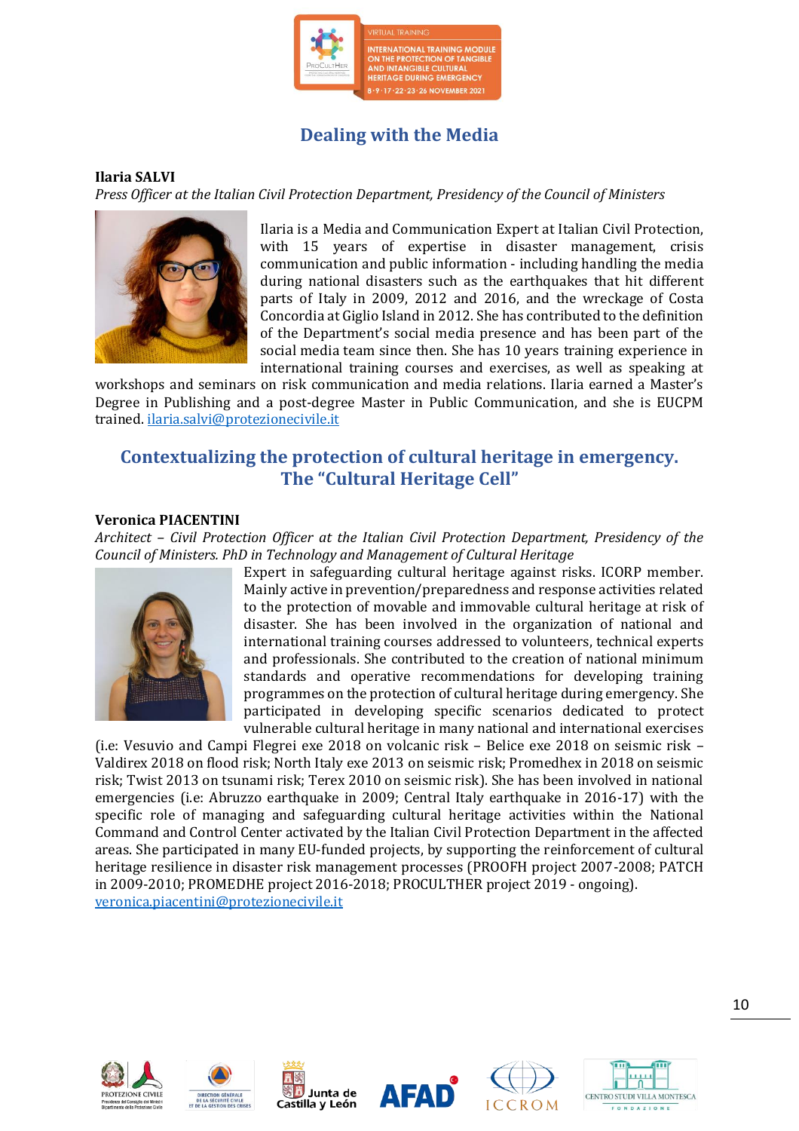

## **Dealing with the Media**

#### **Ilaria SALVI**

*Press Officer at the Italian Civil Protection Department, Presidency of the Council of Ministers*



Ilaria is a Media and Communication Expert at Italian Civil Protection, with 15 years of expertise in disaster management, crisis communication and public information - including handling the media during national disasters such as the earthquakes that hit different parts of Italy in 2009, 2012 and 2016, and the wreckage of Costa Concordia at Giglio Island in 2012. She has contributed to the definition of the Department's social media presence and has been part of the social media team since then. She has 10 years training experience in international training courses and exercises, as well as speaking at

workshops and seminars on risk communication and media relations. Ilaria earned a Master's Degree in Publishing and a post-degree Master in Public Communication, and she is EUCPM trained. [ilaria.salvi@protezionecivile.it](mailto:ilaria.salvi@protezionecivile.it)

## **Contextualizing the protection of cultural heritage in emergency. The "Cultural Heritage Cell"**

#### **Veronica PIACENTINI**

*Architect – Civil Protection Officer at the Italian Civil Protection Department, Presidency of the Council of Ministers. PhD in Technology and Management of Cultural Heritage*



Expert in safeguarding cultural heritage against risks. ICORP member. Mainly active in prevention/preparedness and response activities related to the protection of movable and immovable cultural heritage at risk of disaster. She has been involved in the organization of national and international training courses addressed to volunteers, technical experts and professionals. She contributed to the creation of national minimum standards and operative recommendations for developing training programmes on the protection of cultural heritage during emergency. She participated in developing specific scenarios dedicated to protect vulnerable cultural heritage in many national and international exercises

(i.e: Vesuvio and Campi Flegrei exe 2018 on volcanic risk – Belice exe 2018 on seismic risk – Valdirex 2018 on flood risk; North Italy exe 2013 on seismic risk; Promedhex in 2018 on seismic risk; Twist 2013 on tsunami risk; Terex 2010 on seismic risk). She has been involved in national emergencies (i.e: Abruzzo earthquake in 2009; Central Italy earthquake in 2016-17) with the specific role of managing and safeguarding cultural heritage activities within the National Command and Control Center activated by the Italian Civil Protection Department in the affected areas. She participated in many EU-funded projects, by supporting the reinforcement of cultural heritage resilience in disaster risk management processes (PROOFH project 2007-2008; PATCH in 2009-2010; PROMEDHE project 2016-2018; PROCULTHER project 2019 - ongoing). [veronica.piacentini@protezionecivile.it](mailto:veronica.piacentini@protezionecivile.it)











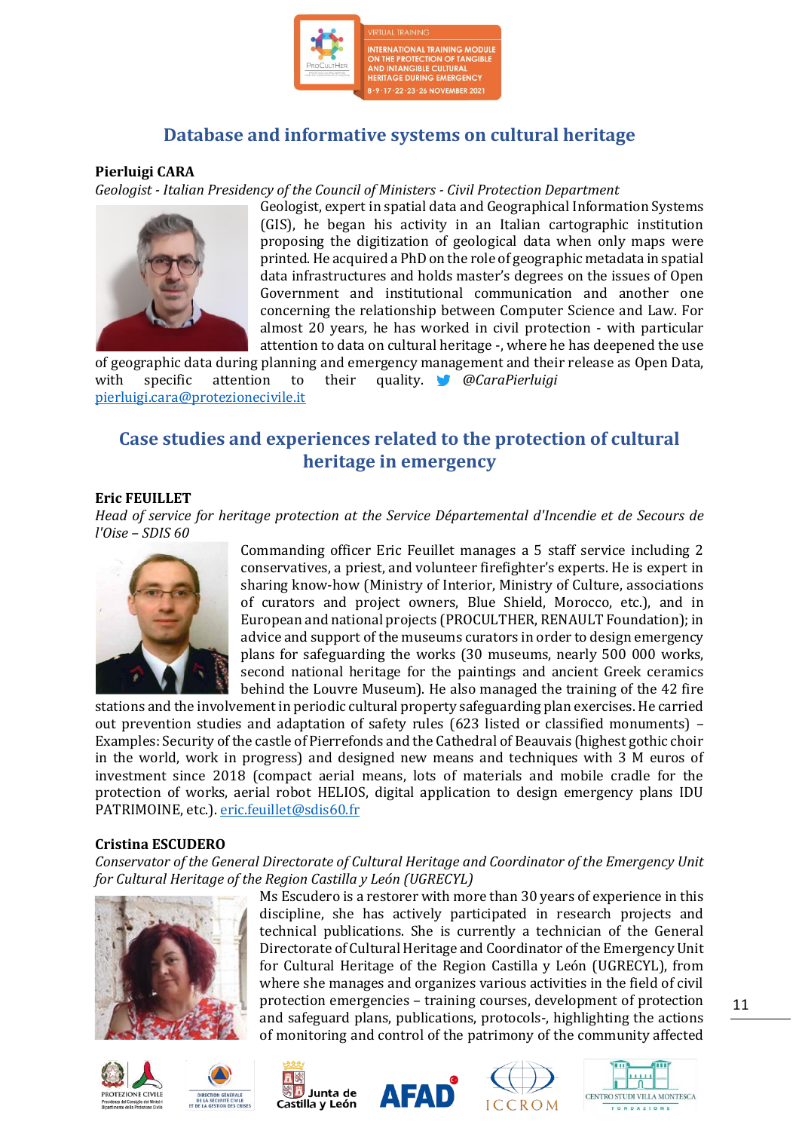

## **Database and informative systems on cultural heritage**

#### **Pierluigi CARA**

*Geologist - Italian Presidency of the Council of Ministers - Civil Protection Department*



Geologist, expert in spatial data and Geographical Information Systems (GIS), he began his activity in an Italian cartographic institution proposing the digitization of geological data when only maps were printed. He acquired a PhD on the role of geographic metadata in spatial data infrastructures and holds master's degrees on the issues of Open Government and institutional communication and another one concerning the relationship between Computer Science and Law. For almost 20 years, he has worked in civil protection - with particular attention to data on cultural heritage -, where he has deepened the use

of geographic data during planning and emergency management and their release as Open Data, with specific attention to their quality. *@CaraPierluigi* [pierluigi.cara@protezionecivile.it](mailto:pierluigi.cara@protezionecivile.it)

## **Case studies and experiences related to the protection of cultural heritage in emergency**

#### **Eric FEUILLET**

*Head of service for heritage protection at the Service Départemental d'Incendie et de Secours de l'Oise – SDIS 60*



Commanding officer Eric Feuillet manages a 5 staff service including 2 conservatives, a priest, and volunteer firefighter's experts. He is expert in sharing know-how (Ministry of Interior, Ministry of Culture, associations of curators and project owners, Blue Shield, Morocco, etc.), and in European and national projects (PROCULTHER, RENAULT Foundation); in advice and support of the museums curators in order to design emergency plans for safeguarding the works (30 museums, nearly 500 000 works, second national heritage for the paintings and ancient Greek ceramics behind the Louvre Museum). He also managed the training of the 42 fire

stations and the involvement in periodic cultural property safeguarding plan exercises. He carried out prevention studies and adaptation of safety rules (623 listed or classified monuments) – Examples: Security of the castle of Pierrefonds and the Cathedral of Beauvais (highest gothic choir in the world, work in progress) and designed new means and techniques with 3 M euros of investment since 2018 (compact aerial means, lots of materials and mobile cradle for the protection of works, aerial robot HELIOS, digital application to design emergency plans IDU PATRIMOINE, etc.). [eric.feuillet@sdis60.fr](mailto:eric.feuillet@sdis60.fr)

#### **Cristina ESCUDERO**

*Conservator of the General Directorate of Cultural Heritage and Coordinator of the Emergency Unit for Cultural Heritage of the Region Castilla y León (UGRECYL)*



PROTEZIONE CIVILE



Ms Escudero is a restorer with more than 30 years of experience in this discipline, she has actively participated in research projects and technical publications. She is currently a technician of the General Directorate of Cultural Heritage and Coordinator of the Emergency Unit for Cultural Heritage of the Region Castilla y León (UGRECYL), from where she manages and organizes various activities in the field of civil protection emergencies – training courses, development of protection and safeguard plans, publications, protocols-, highlighting the actions of monitoring and control of the patrimony of the community affected







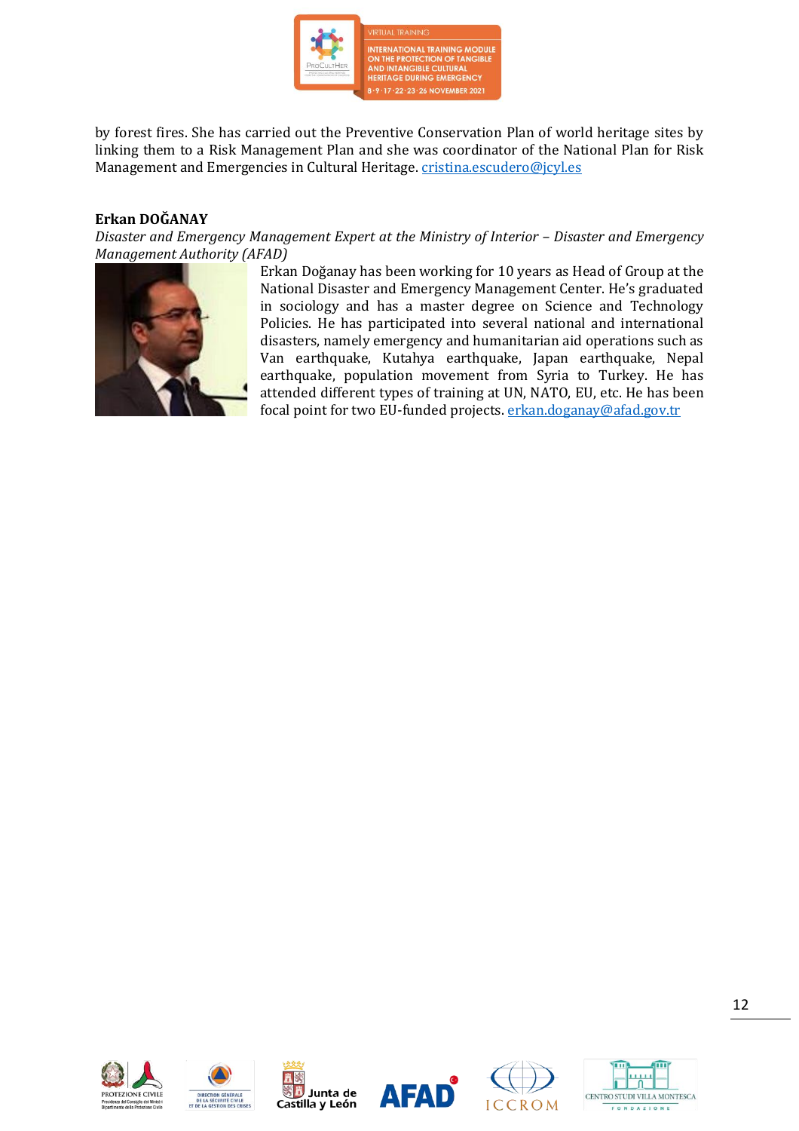

by forest fires. She has carried out the Preventive Conservation Plan of world heritage sites by linking them to a Risk Management Plan and she was coordinator of the National Plan for Risk Management and Emergencies in Cultural Heritage. [cristina.escudero@jcyl.es](mailto:cristina.escudero@jcyl.es)

#### **Erkan DOĞANAY**

*Disaster and Emergency Management Expert at the Ministry of Interior - Disaster and Emergency Management Authority (AFAD)*



Erkan Doğanay has been working for 10 years as Head of Group at the National Disaster and Emergency Management Center. He's graduated in sociology and has a master degree on Science and Technology Policies. He has participated into several national and international disasters, namely emergency and humanitarian aid operations such as Van earthquake, Kutahya earthquake, Japan earthquake, Nepal earthquake, population movement from Syria to Turkey. He has attended different types of training at UN, NATO, EU, etc. He has been focal point for two EU-funded projects. [erkan.doganay@afad.gov.tr](mailto:erkan.doganay@afad.gov.tr)











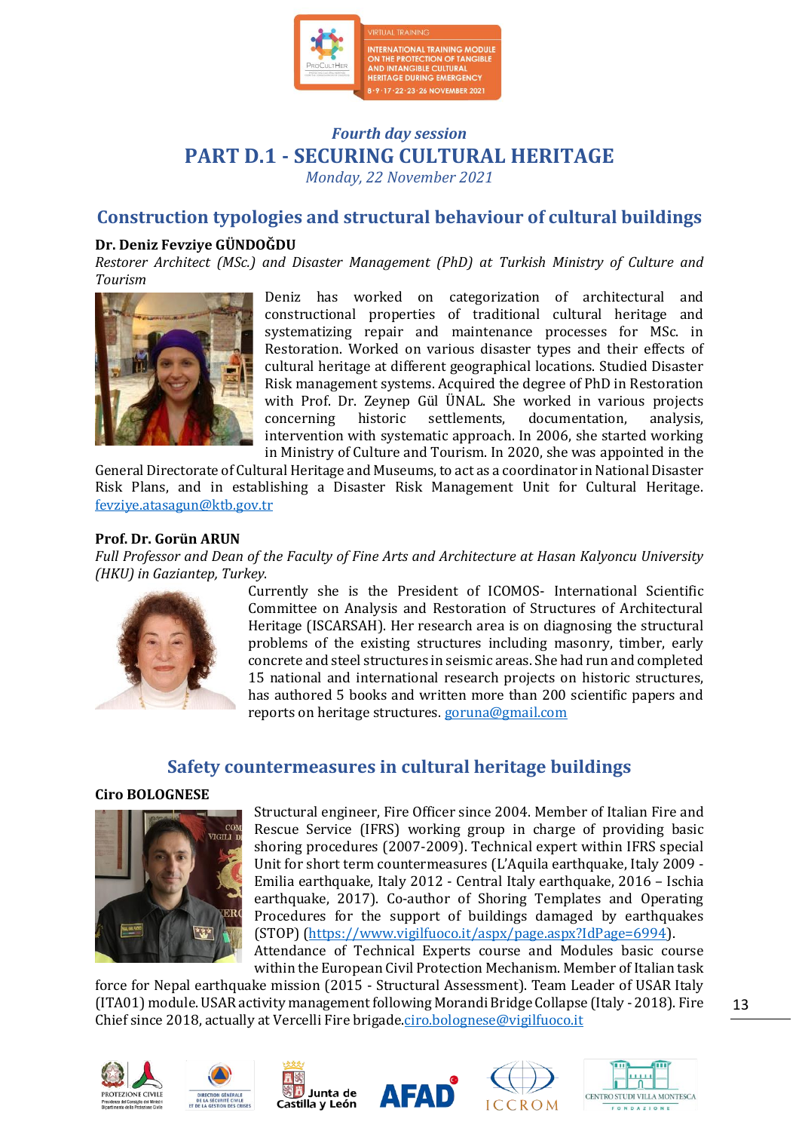

## *Fourth day session* **PART D.1 - SECURING CULTURAL HERITAGE**

*Monday, 22 November 2021*

## **Construction typologies and structural behaviour of cultural buildings**

#### **Dr. Deniz Fevziye GÜNDOĞDU**

*Restorer Architect (MSc.) and Disaster Management (PhD) at Turkish Ministry of Culture and Tourism*



Deniz has worked on categorization of architectural and constructional properties of traditional cultural heritage and systematizing repair and maintenance processes for MSc. in Restoration. Worked on various disaster types and their effects of cultural heritage at different geographical locations. Studied Disaster Risk management systems. Acquired the degree of PhD in Restoration with Prof. Dr. Zeynep Gül ÜNAL. She worked in various projects concerning historic settlements, documentation, analysis, intervention with systematic approach. In 2006, she started working in Ministry of Culture and Tourism. In 2020, she was appointed in the

General Directorate of Cultural Heritage and Museums, to act as a coordinator in National Disaster Risk Plans, and in establishing a Disaster Risk Management Unit for Cultural Heritage. [fevziye.atasagun@ktb.gov.tr](mailto:fevziye.atasagun@ktb.gov.tr)

#### **Prof. Dr. Gorün ARUN**

*Full Professor and Dean of the Faculty of Fine Arts and Architecture at Hasan Kalyoncu University (HKU) in Gaziantep, Turkey*.



Currently she is the President of ICOMOS- International Scientific Committee on Analysis and Restoration of Structures of Architectural Heritage (ISCARSAH). Her research area is on diagnosing the structural problems of the existing structures including masonry, timber, early concrete and steel structures in seismic areas. She had run and completed 15 national and international research projects on historic structures, has authored 5 books and written more than 200 scientific papers and reports on heritage structures. [goruna@gmail.com](mailto:goruna@gmail.com)

### **Safety countermeasures in cultural heritage buildings**

#### **Ciro BOLOGNESE**



Structural engineer, Fire Officer since 2004. Member of Italian Fire and Rescue Service (IFRS) working group in charge of providing basic shoring procedures (2007-2009). Technical expert within IFRS special Unit for short term countermeasures (L'Aquila earthquake, Italy 2009 - Emilia earthquake, Italy 2012 - Central Italy earthquake, 2016 – Ischia earthquake, 2017). Co-author of Shoring Templates and Operating Procedures for the support of buildings damaged by earthquakes (STOP) [\(https://www.vigilfuoco.it/aspx/page.aspx?IdPage=6994\)](https://www.vigilfuoco.it/aspx/page.aspx?IdPage=6994). Attendance of Technical Experts course and Modules basic course

within the European Civil Protection Mechanism. Member of Italian task

force for Nepal earthquake mission (2015 - Structural Assessment). Team Leader of USAR Italy (ITA01) module. USAR activity management following Morandi Bridge Collapse (Italy - 2018). Fire Chief since 2018, actually at Vercelli Fire brigad[e.ciro.bolognese@vigilfuoco.it](mailto:ciro.bolognese@vigilfuoco.it)











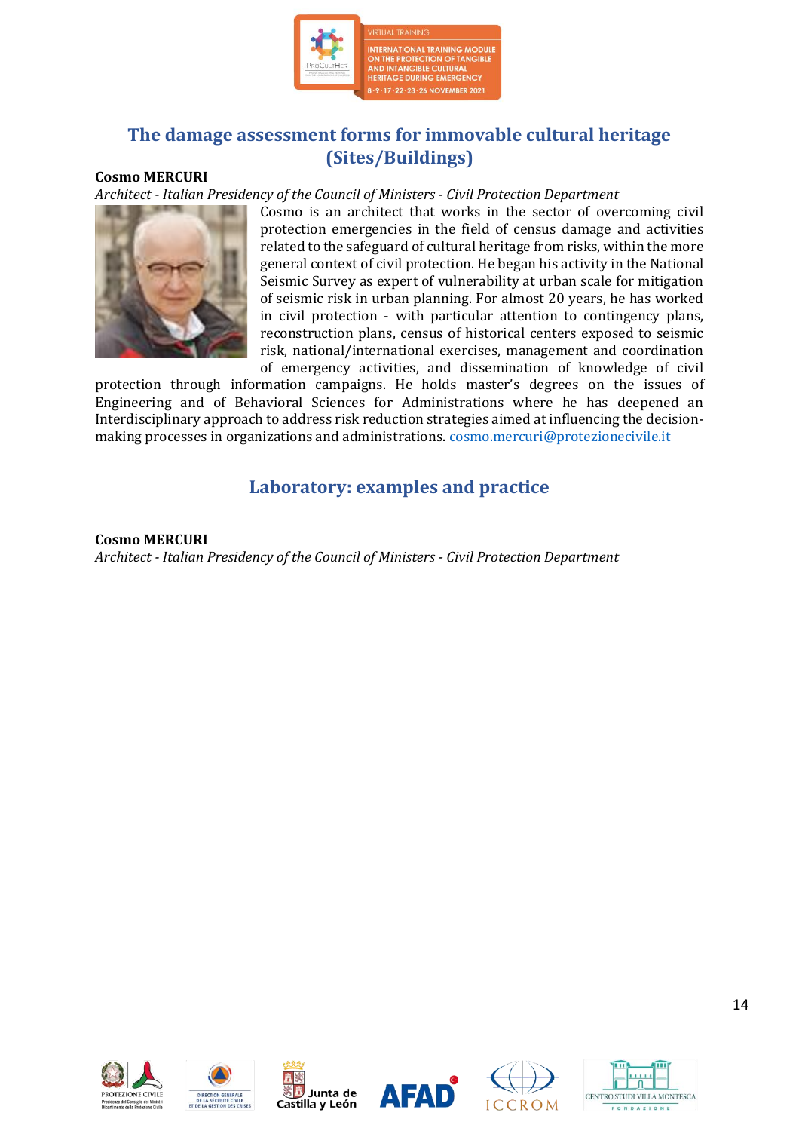

## **The damage assessment forms for immovable cultural heritage (Sites/Buildings)**

#### **Cosmo MERCURI**

*Architect - Italian Presidency of the Council of Ministers - Civil Protection Department*



Cosmo is an architect that works in the sector of overcoming civil protection emergencies in the field of census damage and activities related to the safeguard of cultural heritage from risks, within the more general context of civil protection. He began his activity in the National Seismic Survey as expert of vulnerability at urban scale for mitigation of seismic risk in urban planning. For almost 20 years, he has worked in civil protection - with particular attention to contingency plans, reconstruction plans, census of historical centers exposed to seismic risk, national/international exercises, management and coordination of emergency activities, and dissemination of knowledge of civil

protection through information campaigns. He holds master's degrees on the issues of Engineering and of Behavioral Sciences for Administrations where he has deepened an Interdisciplinary approach to address risk reduction strategies aimed at influencing the decisionmaking processes in organizations and administrations[. cosmo.mercuri@protezionecivile.it](mailto:cosmo.mercuri@protezionecivile.it)

## **Laboratory: examples and practice**

#### **Cosmo MERCURI**

*Architect - Italian Presidency of the Council of Ministers - Civil Protection Department*











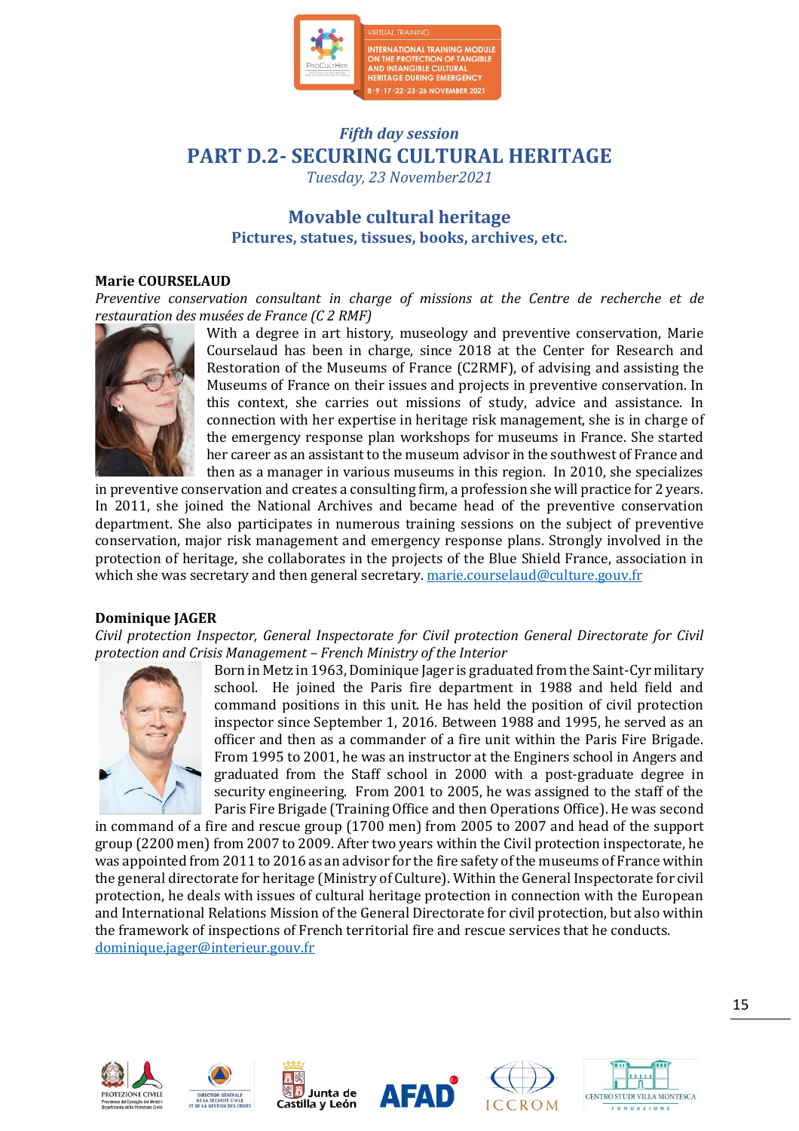

## *Fifth day session* **PART D.2- SECURING CULTURAL HERITAGE**

*Tuesday, 23 November2021*

## **Movable cultural heritage Pictures, statues, tissues, books, archives, etc.**

#### **Marie COURSELAUD**

*Preventive conservation consultant in charge of missions at the Centre de recherche et de restauration des musées de France (C 2 RMF)*



With a degree in art history, museology and preventive conservation, Marie Courselaud has been in charge, since 2018 at the Center for Research and Restoration of the Museums of France (C2RMF), of advising and assisting the Museums of France on their issues and projects in preventive conservation. In this context, she carries out missions of study, advice and assistance. In connection with her expertise in heritage risk management, she is in charge of the emergency response plan workshops for museums in France. She started her career as an assistant to the museum advisor in the southwest of France and then as a manager in various museums in this region. In 2010, she specializes

in preventive conservation and creates a consulting firm, a profession she will practice for 2 years. In 2011, she joined the National Archives and became head of the preventive conservation department. She also participates in numerous training sessions on the subject of preventive conservation, major risk management and emergency response plans. Strongly involved in the protection of heritage, she collaborates in the projects of the Blue Shield France, association in which she was secretary and then general secretary. [marie.courselaud@culture.gouv.fr](mailto:marie.courselaud@culture.gouv.fr)

#### **Dominique JAGER**

*Civil protection Inspector, General Inspectorate for Civil protection General Directorate for Civil protection and Crisis Management – French Ministry of the Interior*



Born in Metz in 1963, Dominique Jager is graduated from the Saint-Cyr military school. He joined the Paris fire department in 1988 and held field and command positions in this unit. He has held the position of civil protection inspector since September 1, 2016. Between 1988 and 1995, he served as an officer and then as a commander of a fire unit within the Paris Fire Brigade. From 1995 to 2001, he was an instructor at the Enginers school in Angers and graduated from the Staff school in 2000 with a post-graduate degree in security engineering. From 2001 to 2005, he was assigned to the staff of the Paris Fire Brigade (Training Office and then Operations Office). He was second

in command of a fire and rescue group (1700 men) from 2005 to 2007 and head of the support group (2200 men) from 2007 to 2009. After two years within the Civil protection inspectorate, he was appointed from 2011 to 2016 as an advisor for the fire safety of the museums of France within the general directorate for heritage (Ministry of Culture). Within the General Inspectorate for civil protection, he deals with issues of cultural heritage protection in connection with the European and International Relations Mission of the General Directorate for civil protection, but also within the framework of inspections of French territorial fire and rescue services that he conducts. [dominique.jager@interieur.gouv.fr](mailto:dominique.jager@interieur.gouv.fr)











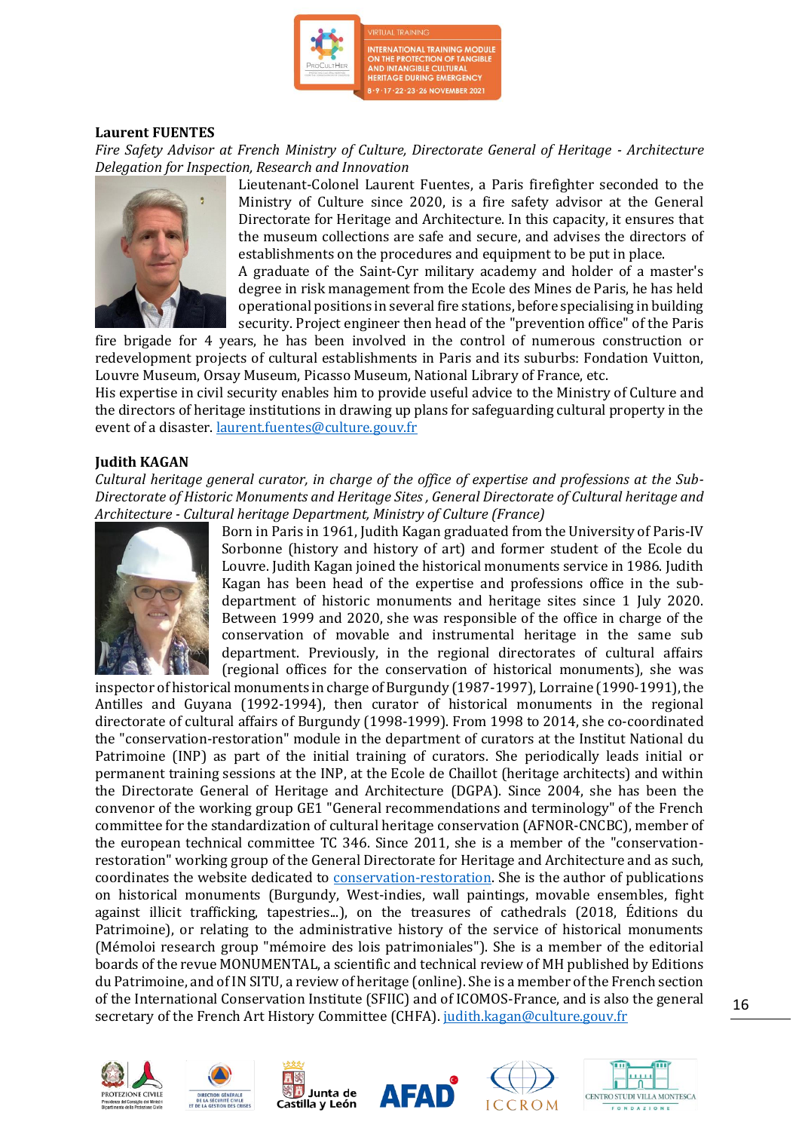

#### **Laurent FUENTES**

*Fire Safety Advisor at French Ministry of Culture, Directorate General of Heritage - Architecture Delegation for Inspection, Research and Innovation*



Lieutenant-Colonel Laurent Fuentes, a Paris firefighter seconded to the Ministry of Culture since 2020, is a fire safety advisor at the General Directorate for Heritage and Architecture. In this capacity, it ensures that the museum collections are safe and secure, and advises the directors of establishments on the procedures and equipment to be put in place.

A graduate of the Saint-Cyr military academy and holder of a master's degree in risk management from the Ecole des Mines de Paris, he has held operational positions in several fire stations, before specialising in building security. Project engineer then head of the "prevention office" of the Paris

fire brigade for 4 years, he has been involved in the control of numerous construction or redevelopment projects of cultural establishments in Paris and its suburbs: Fondation Vuitton, Louvre Museum, Orsay Museum, Picasso Museum, National Library of France, etc.

His expertise in civil security enables him to provide useful advice to the Ministry of Culture and the directors of heritage institutions in drawing up plans for safeguarding cultural property in the event of a disaster. [laurent.fuentes@culture.gouv.fr](mailto:laurent.fuentes@culture.gouv.fr)

#### **Judith KAGAN**

*Cultural heritage general curator, in charge of the office of expertise and professions at the Sub-Directorate of Historic Monuments and Heritage Sites , General Directorate of Cultural heritage and Architecture - Cultural heritage Department, Ministry of Culture (France)*



Born in Paris in 1961, Judith Kagan graduated from the University of Paris-IV Sorbonne (history and history of art) and former student of the Ecole du Louvre. Judith Kagan joined the historical monuments service in 1986. Judith Kagan has been head of the expertise and professions office in the subdepartment of historic monuments and heritage sites since 1 July 2020. Between 1999 and 2020, she was responsible of the office in charge of the conservation of movable and instrumental heritage in the same sub department. Previously, in the regional directorates of cultural affairs (regional offices for the conservation of historical monuments), she was

inspector of historical monuments in charge of Burgundy (1987-1997), Lorraine (1990-1991), the Antilles and Guyana (1992-1994), then curator of historical monuments in the regional directorate of cultural affairs of Burgundy (1998-1999). From 1998 to 2014, she co-coordinated the "conservation-restoration" module in the department of curators at the Institut National du Patrimoine (INP) as part of the initial training of curators. She periodically leads initial or permanent training sessions at the INP, at the Ecole de Chaillot (heritage architects) and within the Directorate General of Heritage and Architecture (DGPA). Since 2004, she has been the convenor of the working group GE1 "General recommendations and terminology" of the French committee for the standardization of cultural heritage conservation (AFNOR-CNCBC), member of the european technical committee TC 346. Since 2011, she is a member of the "conservationrestoration" working group of the General Directorate for Heritage and Architecture and as such, coordinates the website dedicated to [conservation-restoration.](https://www.culture.gouv.fr/Thematiques/Conservation-restauration) She is the author of publications on historical monuments (Burgundy, West-indies, wall paintings, movable ensembles, fight against illicit trafficking, tapestries...), on the treasures of cathedrals (2018, Éditions du Patrimoine), or relating to the administrative history of the service of historical monuments (Mémoloi research group "mémoire des lois patrimoniales"). She is a member of the editorial boards of the revue MONUMENTAL, a scientific and technical review of MH published by Editions du Patrimoine, and of IN SITU, a review of heritage (online). She is a member of the French section of the International Conservation Institute (SFIIC) and of ICOMOS-France, and is also the general secretary of the French Art History Committee (CHFA). [judith.kagan@culture.gouv.fr](mailto:judith.kagan@culture.gouv.fr)











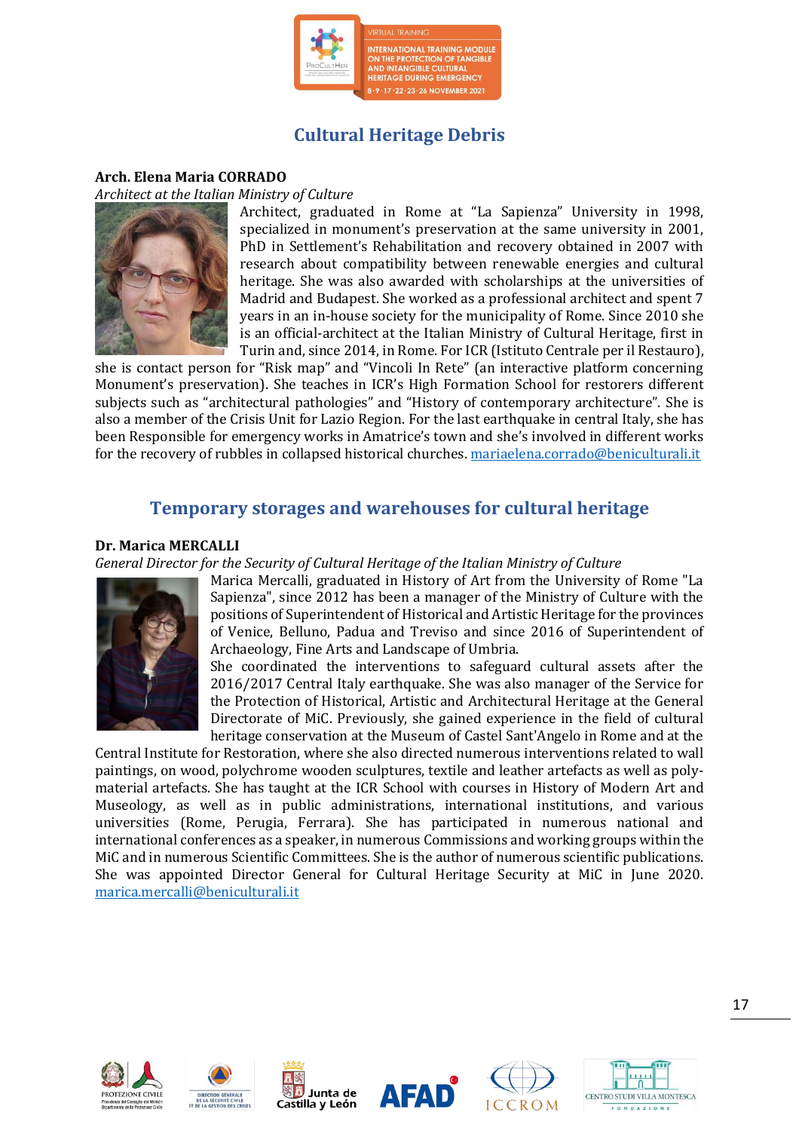

## **Cultural Heritage Debris**

#### **Arch. Elena Maria CORRADO**

*Architect at the Italian Ministry of Culture* 



Architect, graduated in Rome at "La Sapienza" University in 1998, specialized in monument's preservation at the same university in 2001, PhD in Settlement's Rehabilitation and recovery obtained in 2007 with research about compatibility between renewable energies and cultural heritage. She was also awarded with scholarships at the universities of Madrid and Budapest. She worked as a professional architect and spent 7 years in an in-house society for the municipality of Rome. Since 2010 she is an official-architect at the Italian Ministry of Cultural Heritage, first in Turin and, since 2014, in Rome. For ICR (Istituto Centrale per il Restauro),

she is contact person for "Risk map" and "Vincoli In Rete" (an interactive platform concerning Monument's preservation). She teaches in ICR's High Formation School for restorers different subjects such as "architectural pathologies" and "History of contemporary architecture". She is also a member of the Crisis Unit for Lazio Region. For the last earthquake in central Italy, she has been Responsible for emergency works in Amatrice's town and she's involved in different works for the recovery of rubbles in collapsed historical churches. [mariaelena.corrado@beniculturali.it](mailto:mariaelena.corrado@beniculturali.it)

### **Temporary storages and warehouses for cultural heritage**

#### **Dr. Marica MERCALLI**

*General Director for the Security of Cultural Heritage of the Italian Ministry of Culture*



Marica Mercalli, graduated in History of Art from the University of Rome "La Sapienza", since 2012 has been a manager of the Ministry of Culture with the positions of Superintendent of Historical and Artistic Heritage for the provinces of Venice, Belluno, Padua and Treviso and since 2016 of Superintendent of Archaeology, Fine Arts and Landscape of Umbria.

She coordinated the interventions to safeguard cultural assets after the 2016/2017 Central Italy earthquake. She was also manager of the Service for the Protection of Historical, Artistic and Architectural Heritage at the General Directorate of MiC. Previously, she gained experience in the field of cultural heritage conservation at the Museum of Castel Sant'Angelo in Rome and at the

Central Institute for Restoration, where she also directed numerous interventions related to wall paintings, on wood, polychrome wooden sculptures, textile and leather artefacts as well as polymaterial artefacts. She has taught at the ICR School with courses in History of Modern Art and Museology, as well as in public administrations, international institutions, and various universities (Rome, Perugia, Ferrara). She has participated in numerous national and international conferences as a speaker, in numerous Commissions and working groups within the MiC and in numerous Scientific Committees. She is the author of numerous scientific publications. She was appointed Director General for Cultural Heritage Security at MiC in June 2020. [marica.mercalli@beniculturali.it](mailto:marica.mercalli@beniculturali.it)